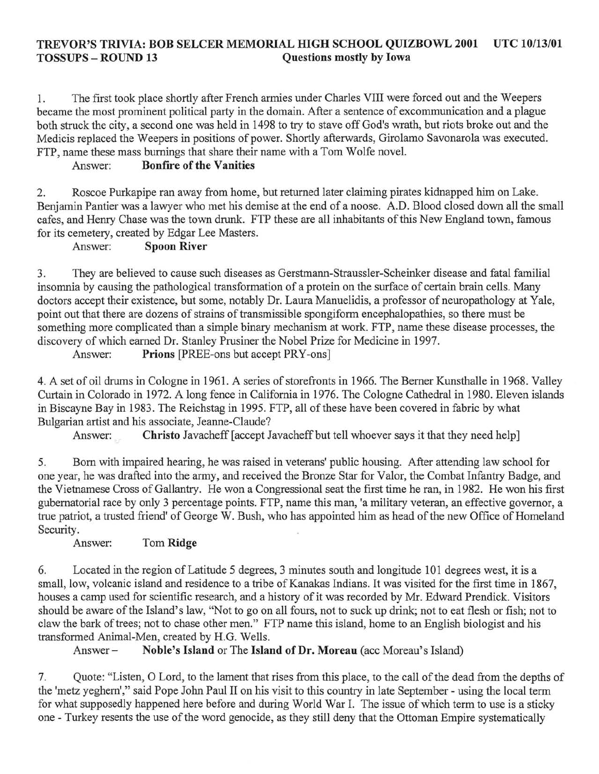### TREVOR'S TRIVIA: BOB SELCER MEMORIAL HIGH SCHOOL QUIZBOWL 2001 UTC *10/13/01*  Ouestions mostly by Iowa

1. The first took place shortly after French armies under Charles VIII were forced out and the Weepers became the most prominent political party in the domain. After a sentence of excommunication and a plague both struck the city, a second one was held in 1498 to try to stave off God's wrath, but riots broke out and the Medicis replaced the Weepers in positions of power. Shortly afterwards, Girolamo Savonarola was executed. FTP, name these mass burnings that share their name with a Tom Wolfe novel.

## Answer: Bonfire of the Vanities

2. Roscoe Purkapipe ran away from home, but returned later claiming pirates kidnapped him on Lake. Benjamin Pantier was a lawyer who met his demise at the end of a noose. A.D. Blood closed down all the small cafes, and Henry Chase was the town drunk. FTP these are all inhabitants of this New England town, famous for its cemetery, created by Edgar Lee Masters.

#### Answer: Spoon River

3. They are believed to cause such diseases as Gerstmann-Straussler-Scheinker disease and fatal familial insomnia by causing the pathological transformation of a protein on the surface of certain brain cells. Many doctors accept their existence, but some, notably Dr. Laura Manuelidis, a professor of neuropathology at Yale, point out that there are dozens of strains of transmissible spongiform encephalopathies, so there must be something more complicated than a simple binary mechanism at work. FTP, name these disease processes, the discovery of which earned Dr. Stanley Prusiner the Nobel Prize for Medicine in 1997.

Answer: Prions [PREE-ons but accept PRY-ons]

4. A set of oil drums in Cologne in 1961. A series of storefronts in 1966. The Berner Kunsthalle in 1968. Valley Curtain in Colorado in 1972. A long fence in California in 1976. The Cologne Cathedral in 1980. Eleven islands in Biscayne Bay in 1983. The Reichstag in 1995. FTP, all of these have been covered in fabric by what Bulgarian artist and his associate, leanne-Claude?

Answer: Christo Javacheff [accept Javacheff but tell whoever says it that they need help]

5. Born with impaired hearing, he was raised in veterans' public housing. After attending law school for one year, he was drafted into the army, and received the Bronze Star for Valor, the Combat Infantry Badge, and the Vietnamese Cross of Gallantry. He won a Congressional seat the first time he ran, in 1982. He won his first gubernatorial race by only 3 percentage points. FTP, name this man, 'a military veteran, an effective governor, a true patriot, a trusted friend' of George W. Bush, who has appointed him as head of the new Office of Homeland Security.

#### Answer: Tom Ridge

6. Located in the region of Latitude 5 degrees, 3 minutes south and longitude 101 degrees west, it is a small, low, volcanic island and residence to a tribe of Kanakas Indians. It was visited for the first time in 1867, houses a camp used for scientific research, and a history of it was recorded by Mr. Edward Prendick. Visitors should be aware of the Island's law, "Not to go on all fours, not to suck up drink; not to eat flesh or fish; not to claw the bark of trees; not to chase other men." FTP name this island, home to an English biologist and his transformed Animal-Men, created by H.G. Wells.

Answer - Noble's Island or The Island of Dr. Moreau (ace Moreau's Island)

7. Quote: "Listen, 0 Lord, to the lament that rises from this place, to the call of the dead from the depths of the 'metz yeghern'," said Pope John Paul II on his visit to this country in late September - using the local term for what supposedly happened here before and during World War I. The issue of which term to use is a sticky one - Turkey resents the use of the word genocide, as they still deny that the Ottoman Empire systematically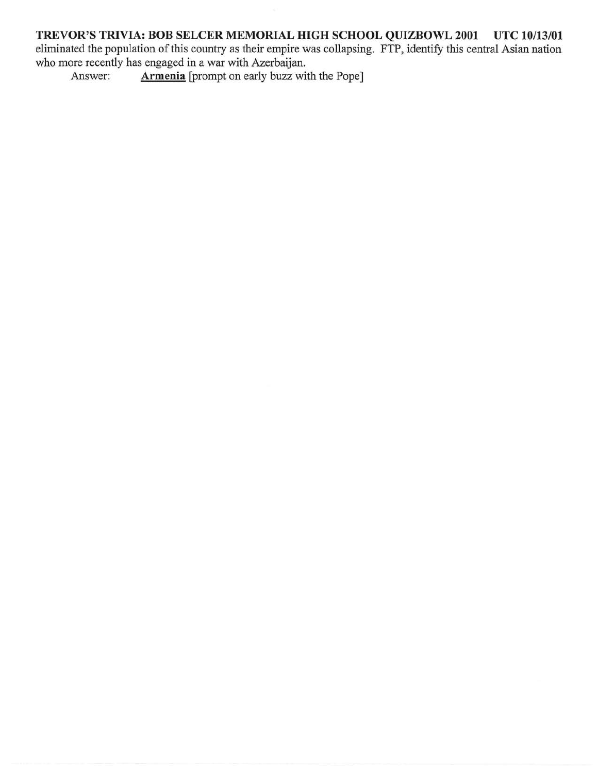# **TREVOR'S TRIVIA: BOB SELCER MEMORIAL HIGH SCHOOL QUIZBOWL 2001 UTC 10/13/01**

eliminated the population of this country as their empire was collapsing. FTP, identify this central Asian nation who more recently has engaged in a war with Azerbaijan.

Answer: **Armenia** [prompt on early buzz with the Pope]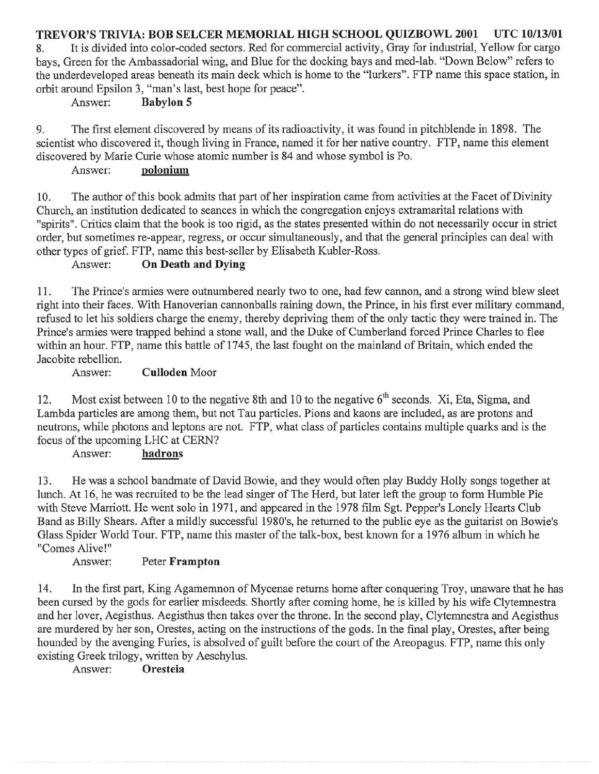**TREVOR'S TRIVIA: BOB SELCER MEMORIAL HIGH SCHOOL QUIZBOWL 2001 UTC 10/13/01**  8. It is divided into color-coded sectors. Red for commercial activity, Gray for industrial, Yellow for cargo bays, Green for the Ambassadorial wing, and Blue for the docking bays and med-lab. "Down Below" refers to the underdeveloped areas beneath its main deck which is home to the "lurkers". FTP name this space station, in orbit around Epsilon 3, "man's last, best hope for peace".

### Answer: **Babylon 5**

9. The first element discovered by means of its radioactivity, it was found in pitchblende in 1898. The scientist who discovered it, though living in France, named it for her native country. FTP, name this element discovered by Marie Curie whose atomic number is 84 and whose symbol is Po.

### Answer: **polonium**

10. The author of this book admits that part of her inspiration came from activities at the Facet of Divinity Church, an institution dedicated to seances in which the congregation enjoys extramarital relations with "spirits". Critics claim that the book is too rigid, as the states presented within do not necessarily occur in strict order, but sometimes re-appear, regress, or occur simultaneously, and that the general principles can deal with other types of grief. FTP, name this best-seller by Elisabeth Kubler-Ross.

## Answer: **On Death and Dying**

11. The Prince's armies were outnumbered nearly two to one, had few cannon, and a strong wind blew sleet right into their faces. With Hanoverian cannonballs raining down, the Prince, in his first ever military command, refused to let his soldiers charge the enemy, thereby depriving them of the only tactic they were trained in. The Prince's armies were trapped behind a stone wall, and the Duke of Cumberland forced Prince Charles to flee within an hour. FTP, name this battle of 1745, the last fought on the mainland of Britain, which ended the Jacobite rebellion.

### Answer: **Culloden** Moor

12. Most exist between 10 to the negative 8th and 10 to the negative  $6<sup>th</sup>$  seconds. Xi, Eta, Sigma, and Lambda particles are among them, but not Tau particles. Pions and kaons are included, as are protons and neutrons, while photons and leptons are not. FTP, what class of particles contains multiple quarks and is the focus of the upcoming LHC at CERN?

### Answer: **hadrons**

13. He was a school bandmate of David Bowie, and they would often play Buddy Holly songs together at lunch. At 16, he was recruited to be the lead singer of The Herd, but later left the group to form Humble Pie with Steve Marriott. He went solo in 1971, and appeared in the 1978 film Sgt. Pepper's Lonely Hearts Club Band as Billy Shears. After a mildly successful 1980's, he returned to the public eye as the guitarist on Bowie's Glass Spider World Tour. FTP, name this master of the talk-box, best known for a 1976 album in which he "Comes Alive!"

### Answer: Peter **Frampton**

14. In the first part, King Agamemnon of Mycenae returns home after conquering Troy, unaware that he has been cursed by the gods for earlier misdeeds. Shortly after coming home, he is killed by his wife Clytemnestra and her lover, Aegisthus. Aegisthus then takes over the throne. In the second play, Clytemnestra and Aegisthus are murdered by her son, Orestes, acting on the instructions of the gods. In the final play, Orestes, after being hounded by the avenging Furies, is absolved of guilt before the court of the Areopagus. FTP, name this only existing Greek trilogy, written by Aeschylus.

### Answer: **Oresteia**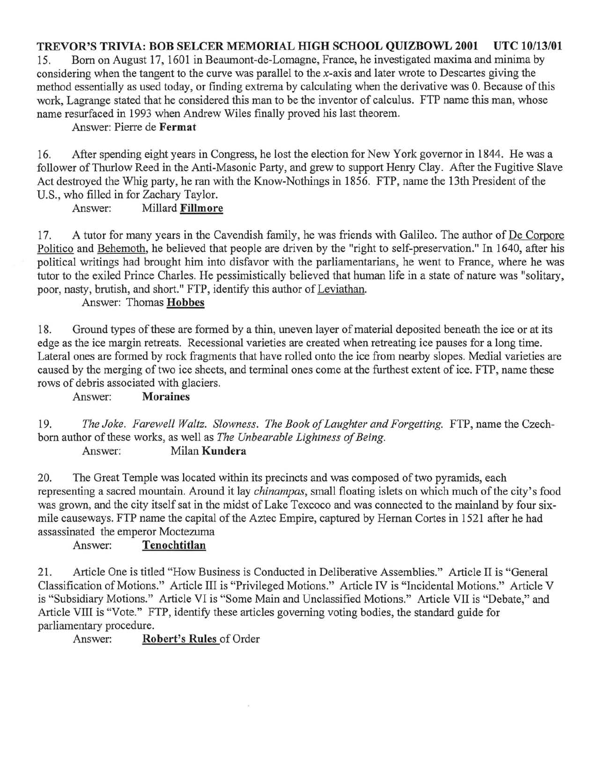### **TREVOR'S TRIVIA: BOB SELCER MEMORIAL HIGH SCHOOL QUIZBOWL 2001 UTC 10/13/01**

15. Born on August 17, 1601 in Beaumont-de-Lomagne, France, he investigated maxima and minima by considering when the tangent to the curve was parallel to the x-axis and later wrote to Descartes giving the method essentially as used today, or finding extrema by calculating when the derivative was O. Because of this work, Lagrange stated that he considered this man to be the inventor of calculus. FTP name this man, whose name resurfaced in 1993 when Andrew Wiles finally proved his last theorem.

Answer: Pierre de **Fermat** 

16. After spending eight years in Congress, he lost the election for New York governor in 1844. He was a follower of Thurlow Reed in the Anti-Masonic Party, and grew to support Henry Clay. After the Fugitive Slave Act destroyed the Whig party, he ran with the Know-Nothings in 1856. FTP, name the 13th President of the U.S., who filled in for Zachary Taylor.

Answer: Millard **Fillmore** 

17. A tutor for many years in the Cavendish family, he was friends with Galileo. The author of De Corpore Politico and Behemoth, he believed that people are driven by the "right to self-preservation." In 1640, after his political writings had brought him into disfavor with the parliamentarians, he went to France, where he was tutor to the exiled Prince Charles. He pessimistically believed that human life in a state of nature was "solitary, poor, nasty, brutish, and short." FTP, identify this author of Leviathan.

Answer: Thomas **Hobbes** 

18. Ground types of these are formed by a thin, uneven layer of material deposited beneath the ice or at its edge as the ice margin retreats. Recessional varieties are created when retreating ice pauses for a long time. Lateral ones are formed by rock fragments that have rolled onto the ice from nearby slopes. Medial varieties are caused by the merging of two ice sheets, and terminal ones come at the furthest extent of ice. FTP, name these rows of debris associated with glaciers.

Answer: **Moraines** 

*19. The Joke. Farewell Waltz. Slowness. The Book of Laughter and Forgetting.* FTP, name the Czechborn author of these works, as well as *The Unbearable Lightness of Being.* 

Answer: Milan **Kundera** 

20. The Great Temple was located within its precincts and was composed of two pyramids, each representing a sacred mountain. Around it lay *chinampas,* small floating islets on which much of the city's food was grown, and the city itself sat in the midst of Lake Texcoco and was connected to the mainland by four sixmile causeways. FTP name the capital of the Aztec Empire, captured by Hernan Cortes in 1521 after he had assassinated the emperor Moctezuma

### Answer: **Tenochtitlan**

21. Article One is titled "How Business is Conducted in Deliberative Assemblies." Article II is "General Classification of Motions." Article III is "Privileged Motions." Article IV is "Incidental Motions." Article V is "Subsidiary Motions." Article VI is "Some Main and Unclassified Motions." Article VII is "Debate," and Article VIII is "Vote." FTP, identify these articles governing voting bodies, the standard guide for parliamentary procedure.

Answer: **Robert's Rules** of Order